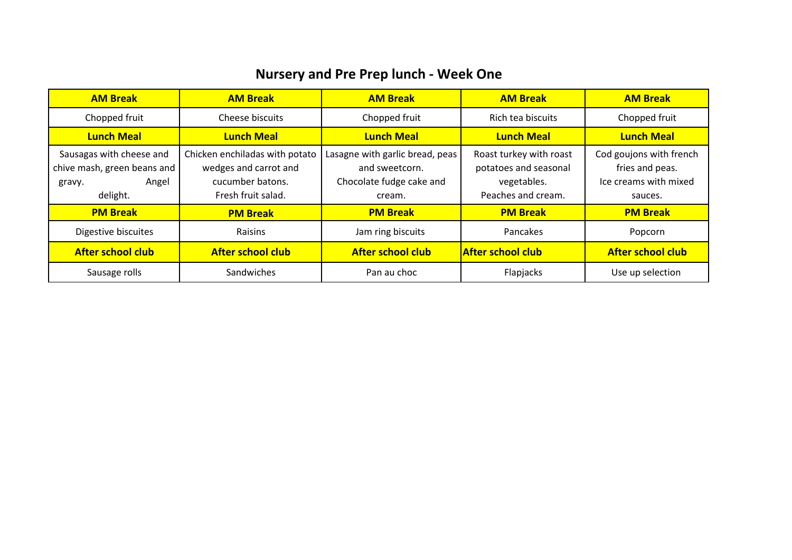## **Nursery and Pre Prep lunch - Week One**

| <b>AM Break</b>                                                                        | <b>AM Break</b>                                                                                   | <b>AM Break</b>                                                                         | <b>AM Break</b>                                                                       | <b>AM Break</b>                                                                |
|----------------------------------------------------------------------------------------|---------------------------------------------------------------------------------------------------|-----------------------------------------------------------------------------------------|---------------------------------------------------------------------------------------|--------------------------------------------------------------------------------|
| Chopped fruit                                                                          | Cheese biscuits                                                                                   | Chopped fruit                                                                           | Rich tea biscuits                                                                     | Chopped fruit                                                                  |
| <b>Lunch Meal</b>                                                                      | <b>Lunch Meal</b>                                                                                 | <b>Lunch Meal</b>                                                                       | <b>Lunch Meal</b>                                                                     | <b>Lunch Meal</b>                                                              |
| Sausagas with cheese and<br>chive mash, green beans and<br>Angel<br>gravy.<br>delight. | Chicken enchiladas with potato<br>wedges and carrot and<br>cucumber batons.<br>Fresh fruit salad. | Lasagne with garlic bread, peas<br>and sweetcorn.<br>Chocolate fudge cake and<br>cream. | Roast turkey with roast<br>potatoes and seasonal<br>vegetables.<br>Peaches and cream. | Cod goujons with french<br>fries and peas.<br>Ice creams with mixed<br>sauces. |
| <b>PM Break</b>                                                                        | <b>PM Break</b>                                                                                   | <b>PM Break</b>                                                                         | <b>PM Break</b>                                                                       | <b>PM Break</b>                                                                |
| Digestive biscuites                                                                    | <b>Raisins</b>                                                                                    | Jam ring biscuits                                                                       | Pancakes                                                                              | Popcorn                                                                        |
| <b>After school club</b>                                                               | <b>After school club</b>                                                                          | <b>After school club</b>                                                                | <b>After school club</b>                                                              | <b>After school club</b>                                                       |
| Sausage rolls                                                                          | Sandwiches                                                                                        | Pan au choc                                                                             | Flapjacks                                                                             | Use up selection                                                               |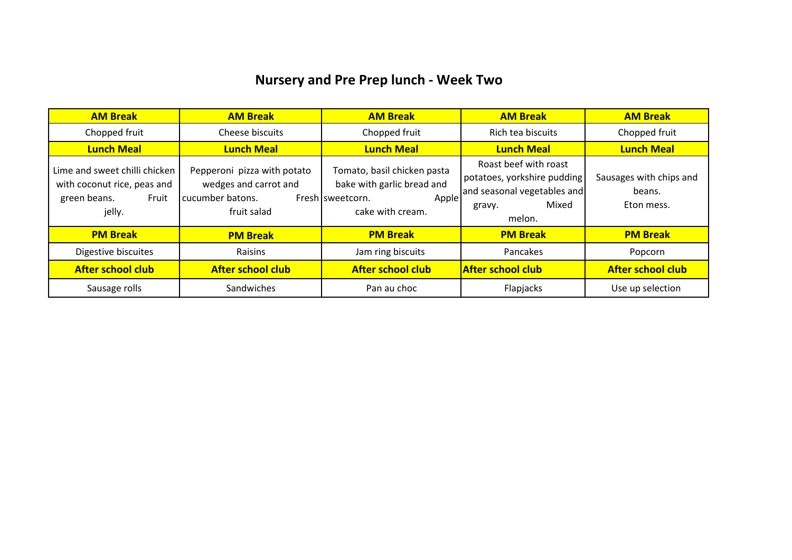## **Nursery and Pre Prep lunch - Week Two**

| <b>AM Break</b>                                                                                 | <b>AM Break</b>                                                                         | <b>AM Break</b>                                                                                            | <b>AM Break</b>                                                                                                  | <b>AM Break</b>                                 |
|-------------------------------------------------------------------------------------------------|-----------------------------------------------------------------------------------------|------------------------------------------------------------------------------------------------------------|------------------------------------------------------------------------------------------------------------------|-------------------------------------------------|
| Chopped fruit                                                                                   | Cheese biscuits                                                                         | Chopped fruit                                                                                              | Rich tea biscuits                                                                                                | Chopped fruit                                   |
| <b>Lunch Meal</b>                                                                               | <b>Lunch Meal</b>                                                                       | <b>Lunch Meal</b>                                                                                          | <b>Lunch Meal</b>                                                                                                | <b>Lunch Meal</b>                               |
| Lime and sweet chilli chicken<br>with coconut rice, peas and<br>green beans.<br>Fruit<br>jelly. | Pepperoni pizza with potato<br>wedges and carrot and<br>cucumber batons.<br>fruit salad | Tomato, basil chicken pasta<br>bake with garlic bread and<br>Apple<br>Fresh sweetcorn.<br>cake with cream. | Roast beef with roast<br>potatoes, yorkshire pudding<br>and seasonal vegetables and<br>Mixed<br>gravy.<br>melon. | Sausages with chips and<br>beans.<br>Eton mess. |
| <b>PM Break</b>                                                                                 | <b>PM Break</b>                                                                         | <b>PM Break</b>                                                                                            | <b>PM Break</b>                                                                                                  | <b>PM Break</b>                                 |
| Digestive biscuites                                                                             | Raisins                                                                                 | Jam ring biscuits                                                                                          | Pancakes                                                                                                         | Popcorn                                         |
| <b>After school club</b>                                                                        | <b>After school club</b>                                                                | <b>After school club</b>                                                                                   | <b>After school club</b>                                                                                         | <b>After school club</b>                        |
| Sausage rolls                                                                                   | Sandwiches                                                                              | Pan au choc                                                                                                | Flapjacks                                                                                                        | Use up selection                                |